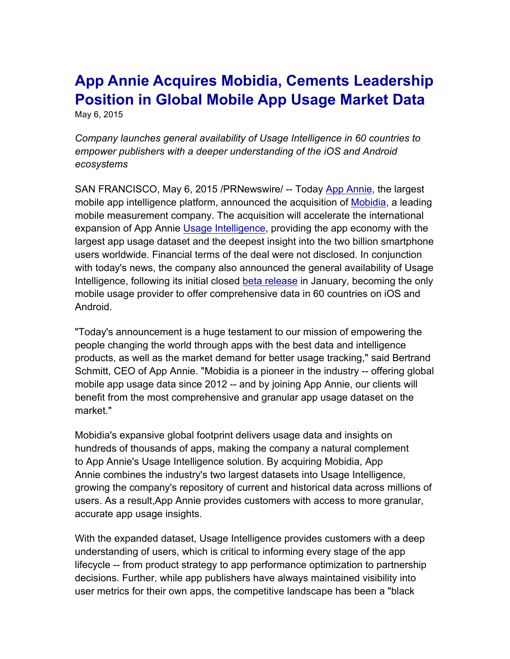## **App Annie Acquires Mobidia, Cements Leadership Position in Global Mobile App Usage Market Data** May 6, 2015

*Company launches general availability of Usage Intelligence in 60 countries to empower publishers with a deeper understanding of the iOS and Android ecosystems*

SAN FRANCISCO, May 6, 2015 /PRNewswire/ -- Today App Annie, the largest mobile app intelligence platform, announced the acquisition of Mobidia, a leading mobile measurement company. The acquisition will accelerate the international expansion of App Annie Usage Intelligence, providing the app economy with the largest app usage dataset and the deepest insight into the two billion smartphone users worldwide. Financial terms of the deal were not disclosed. In conjunction with today's news, the company also announced the general availability of Usage Intelligence, following its initial closed beta release in January, becoming the only mobile usage provider to offer comprehensive data in 60 countries on iOS and Android.

"Today's announcement is a huge testament to our mission of empowering the people changing the world through apps with the best data and intelligence products, as well as the market demand for better usage tracking," said Bertrand Schmitt, CEO of App Annie. "Mobidia is a pioneer in the industry -- offering global mobile app usage data since 2012 -- and by joining App Annie, our clients will benefit from the most comprehensive and granular app usage dataset on the market."

Mobidia's expansive global footprint delivers usage data and insights on hundreds of thousands of apps, making the company a natural complement to App Annie's Usage Intelligence solution. By acquiring Mobidia, App Annie combines the industry's two largest datasets into Usage Intelligence, growing the company's repository of current and historical data across millions of users. As a result,App Annie provides customers with access to more granular, accurate app usage insights.

With the expanded dataset, Usage Intelligence provides customers with a deep understanding of users, which is critical to informing every stage of the app lifecycle -- from product strategy to app performance optimization to partnership decisions. Further, while app publishers have always maintained visibility into user metrics for their own apps, the competitive landscape has been a "black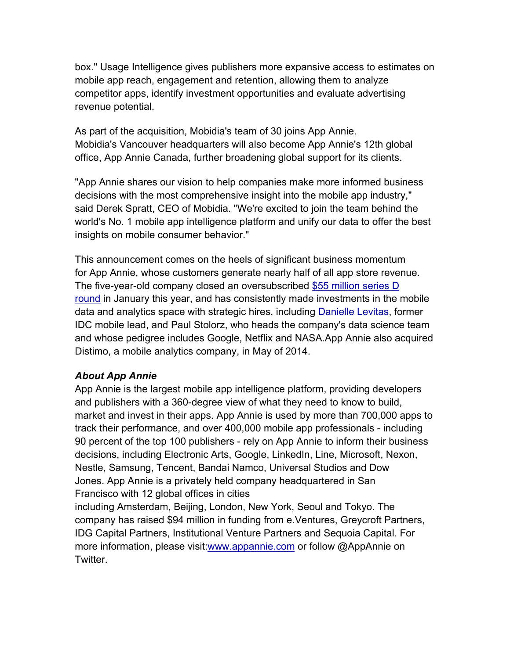box." Usage Intelligence gives publishers more expansive access to estimates on mobile app reach, engagement and retention, allowing them to analyze competitor apps, identify investment opportunities and evaluate advertising revenue potential.

As part of the acquisition, Mobidia's team of 30 joins App Annie. Mobidia's Vancouver headquarters will also become App Annie's 12th global office, App Annie Canada, further broadening global support for its clients.

"App Annie shares our vision to help companies make more informed business decisions with the most comprehensive insight into the mobile app industry," said Derek Spratt, CEO of Mobidia. "We're excited to join the team behind the world's No. 1 mobile app intelligence platform and unify our data to offer the best insights on mobile consumer behavior."

This announcement comes on the heels of significant business momentum for App Annie, whose customers generate nearly half of all app store revenue. The five-year-old company closed an oversubscribed \$55 million series D round in January this year, and has consistently made investments in the mobile data and analytics space with strategic hires, including Danielle Levitas, former IDC mobile lead, and Paul Stolorz, who heads the company's data science team and whose pedigree includes Google, Netflix and NASA.App Annie also acquired Distimo, a mobile analytics company, in May of 2014.

## *About App Annie*

App Annie is the largest mobile app intelligence platform, providing developers and publishers with a 360-degree view of what they need to know to build, market and invest in their apps. App Annie is used by more than 700,000 apps to track their performance, and over 400,000 mobile app professionals - including 90 percent of the top 100 publishers - rely on App Annie to inform their business decisions, including Electronic Arts, Google, LinkedIn, Line, Microsoft, Nexon, Nestle, Samsung, Tencent, Bandai Namco, Universal Studios and Dow Jones. App Annie is a privately held company headquartered in San Francisco with 12 global offices in cities

including Amsterdam, Beijing, London, New York, Seoul and Tokyo. The company has raised \$94 million in funding from e.Ventures, Greycroft Partners, IDG Capital Partners, Institutional Venture Partners and Sequoia Capital. For more information, please visit:www.appannie.com or follow @AppAnnie on Twitter.